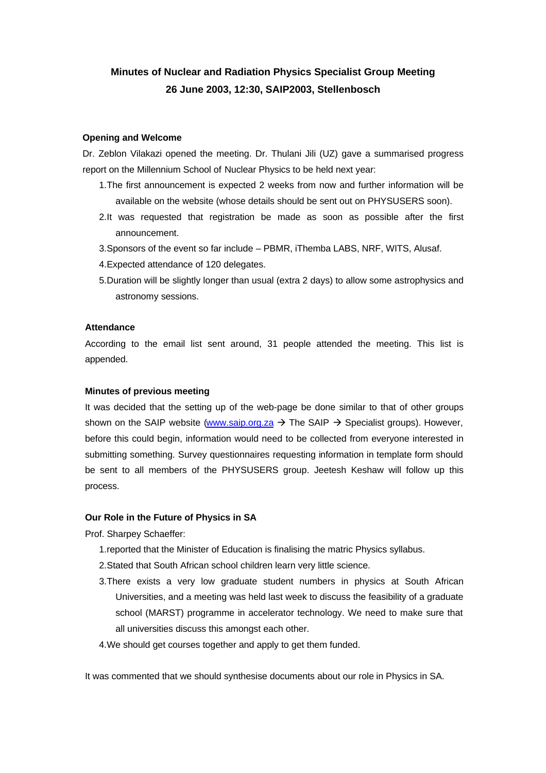# **Minutes of Nuclear and Radiation Physics Specialist Group Meeting 26 June 2003, 12:30, SAIP2003, Stellenbosch**

#### **Opening and Welcome**

Dr. Zeblon Vilakazi opened the meeting. Dr. Thulani Jili (UZ) gave a summarised progress report on the Millennium School of Nuclear Physics to be held next year:

- 1.The first announcement is expected 2 weeks from now and further information will be available on the website (whose details should be sent out on PHYSUSERS soon).
- 2.It was requested that registration be made as soon as possible after the first announcement.
- 3.Sponsors of the event so far include PBMR, iThemba LABS, NRF, WITS, Alusaf.
- 4.Expected attendance of 120 delegates.
- 5.Duration will be slightly longer than usual (extra 2 days) to allow some astrophysics and astronomy sessions.

#### **Attendance**

According to the email list sent around, 31 people attended the meeting. This list is appended.

#### **Minutes of previous meeting**

It was decided that the setting up of the web-page be done similar to that of other groups shown on the SAIP website (www.saip.org.za  $\rightarrow$  The SAIP  $\rightarrow$  Specialist groups). However, before this could begin, information would need to be collected from everyone interested in submitting something. Survey questionnaires requesting information in template form should be sent to all members of the PHYSUSERS group. Jeetesh Keshaw will follow up this process.

#### **Our Role in the Future of Physics in SA**

Prof. Sharpey Schaeffer:

- 1.reported that the Minister of Education is finalising the matric Physics syllabus.
- 2.Stated that South African school children learn very little science.
- 3.There exists a very low graduate student numbers in physics at South African Universities, and a meeting was held last week to discuss the feasibility of a graduate school (MARST) programme in accelerator technology. We need to make sure that all universities discuss this amongst each other.
- 4.We should get courses together and apply to get them funded.

It was commented that we should synthesise documents about our role in Physics in SA.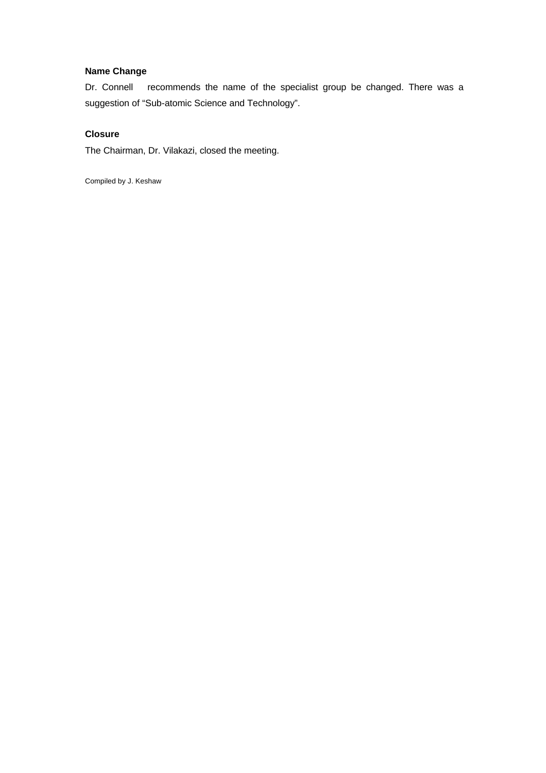## **Name Change**

Dr. Connell recommends the name of the specialist group be changed. There was a suggestion of "Sub-atomic Science and Technology".

## **Closure**

The Chairman, Dr. Vilakazi, closed the meeting.

Compiled by J. Keshaw